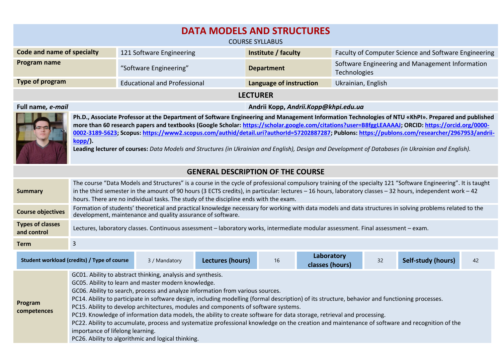| <b>DATA MODELS AND STRUCTURES</b><br><b>COURSE SYLLABUS</b>                                                                                                                                                                                                                                                                                                                                                                                                                                                                                                                                                                      |                                                                                                                                                                |                                             |                         |                                                                        |  |  |  |
|----------------------------------------------------------------------------------------------------------------------------------------------------------------------------------------------------------------------------------------------------------------------------------------------------------------------------------------------------------------------------------------------------------------------------------------------------------------------------------------------------------------------------------------------------------------------------------------------------------------------------------|----------------------------------------------------------------------------------------------------------------------------------------------------------------|---------------------------------------------|-------------------------|------------------------------------------------------------------------|--|--|--|
| <b>Code and name of specialty</b>                                                                                                                                                                                                                                                                                                                                                                                                                                                                                                                                                                                                |                                                                                                                                                                | 121 Software Engineering                    | Institute / faculty     | Faculty of Computer Science and Software Engineering                   |  |  |  |
| Program name                                                                                                                                                                                                                                                                                                                                                                                                                                                                                                                                                                                                                     |                                                                                                                                                                | "Software Engineering"<br><b>Department</b> |                         | Software Engineering and Management Information<br><b>Technologies</b> |  |  |  |
| <b>Type of program</b>                                                                                                                                                                                                                                                                                                                                                                                                                                                                                                                                                                                                           |                                                                                                                                                                | <b>Educational and Professional</b>         | Language of instruction | Ukrainian, English                                                     |  |  |  |
| <b>LECTURER</b>                                                                                                                                                                                                                                                                                                                                                                                                                                                                                                                                                                                                                  |                                                                                                                                                                |                                             |                         |                                                                        |  |  |  |
| Full name, e-mail<br>Andrii Kopp, Andrii.Kopp@khpi.edu.ua                                                                                                                                                                                                                                                                                                                                                                                                                                                                                                                                                                        |                                                                                                                                                                |                                             |                         |                                                                        |  |  |  |
| Ph.D., Associate Professor at the Department of Software Engineering and Management Information Technologies of NTU «KhPI». Prepared and published<br>more than 60 research papers and textbooks (Google Scholar: https://scholar.google.com/citations?user=B8fggLEAAAAJ; ORCID: https://orcid.org/0000-<br>0002-3189-5623; Scopus: https://www2.scopus.com/authid/detail.uri?authorld=57202887287; Publons: https://publons.com/researcher/2967953/andrii-<br>$kopp/$ ).<br>Leading lecturer of courses: Data Models and Structures (in Ukrainian and English), Design and Development of Databases (in Ukrainian and English). |                                                                                                                                                                |                                             |                         |                                                                        |  |  |  |
| <b>GENERAL DESCRIPTION OF THE COURSE</b>                                                                                                                                                                                                                                                                                                                                                                                                                                                                                                                                                                                         |                                                                                                                                                                |                                             |                         |                                                                        |  |  |  |
|                                                                                                                                                                                                                                                                                                                                                                                                                                                                                                                                                                                                                                  | The course "Data Models and Structures" is a course in the cycle of professional compulsory training of the specialty 121 "Software Engineering". It is taught |                                             |                         |                                                                        |  |  |  |

| <b>Summary</b>                         | The course "Data Models and Structures" is a course in the cycle of professional compulsory training of the specialty 121 "Software Engineering". It is taught<br>in the third semester in the amount of 90 hours (3 ECTS credits), in particular: lectures - 16 hours, laboratory classes - 32 hours, independent work - 42<br>hours. There are no individual tasks. The study of the discipline ends with the exam.                                                                                                                                                                                                                                                                                                                                                                                                |               |                  |    |                               |    |                    |    |
|----------------------------------------|----------------------------------------------------------------------------------------------------------------------------------------------------------------------------------------------------------------------------------------------------------------------------------------------------------------------------------------------------------------------------------------------------------------------------------------------------------------------------------------------------------------------------------------------------------------------------------------------------------------------------------------------------------------------------------------------------------------------------------------------------------------------------------------------------------------------|---------------|------------------|----|-------------------------------|----|--------------------|----|
| <b>Course objectives</b>               | Formation of students' theoretical and practical knowledge necessary for working with data models and data structures in solving problems related to the<br>development, maintenance and quality assurance of software.                                                                                                                                                                                                                                                                                                                                                                                                                                                                                                                                                                                              |               |                  |    |                               |    |                    |    |
| <b>Types of classes</b><br>and control | Lectures, laboratory classes. Continuous assessment - laboratory works, intermediate modular assessment. Final assessment - exam.                                                                                                                                                                                                                                                                                                                                                                                                                                                                                                                                                                                                                                                                                    |               |                  |    |                               |    |                    |    |
| <b>Term</b>                            | 3                                                                                                                                                                                                                                                                                                                                                                                                                                                                                                                                                                                                                                                                                                                                                                                                                    |               |                  |    |                               |    |                    |    |
|                                        | Student workload (credits) / Type of course                                                                                                                                                                                                                                                                                                                                                                                                                                                                                                                                                                                                                                                                                                                                                                          | 3 / Mandatory | Lectures (hours) | 16 | Laboratory<br>classes (hours) | 32 | Self-study (hours) | 42 |
| Program<br>competences                 | GC01. Ability to abstract thinking, analysis and synthesis.<br>GC05. Ability to learn and master modern knowledge.<br>GC06. Ability to search, process and analyze information from various sources.<br>PC14. Ability to participate in software design, including modelling (formal description) of its structure, behavior and functioning processes.<br>PC15. Ability to develop architectures, modules and components of software systems.<br>PC19. Knowledge of information data models, the ability to create software for data storage, retrieval and processing.<br>PC22. Ability to accumulate, process and systematize professional knowledge on the creation and maintenance of software and recognition of the<br>importance of lifelong learning.<br>PC26. Ability to algorithmic and logical thinking. |               |                  |    |                               |    |                    |    |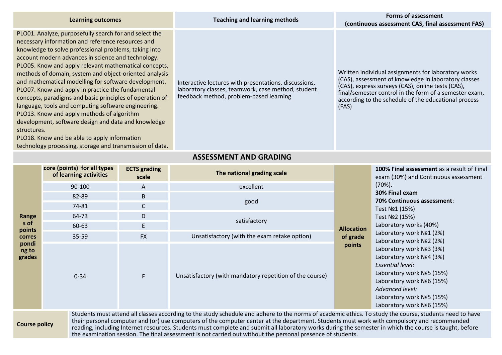| <b>Learning outcomes</b>                                                                                                                                                                                                                                                                                                                                                                                                                                                                                                                                                                                                                                                                                                                                                                                      | <b>Teaching and learning methods</b>                                                                                                                   | Forms of assessment<br>(continuous assessment CAS, final assessment FAS)                                                                                                                                                                                                                    |
|---------------------------------------------------------------------------------------------------------------------------------------------------------------------------------------------------------------------------------------------------------------------------------------------------------------------------------------------------------------------------------------------------------------------------------------------------------------------------------------------------------------------------------------------------------------------------------------------------------------------------------------------------------------------------------------------------------------------------------------------------------------------------------------------------------------|--------------------------------------------------------------------------------------------------------------------------------------------------------|---------------------------------------------------------------------------------------------------------------------------------------------------------------------------------------------------------------------------------------------------------------------------------------------|
| PLO01. Analyze, purposefully search for and select the<br>necessary information and reference resources and<br>knowledge to solve professional problems, taking into<br>account modern advances in science and technology.<br>PLO05. Know and apply relevant mathematical concepts,<br>methods of domain, system and object-oriented analysis<br>and mathematical modelling for software development.<br>PLO07. Know and apply in practice the fundamental<br>concepts, paradigms and basic principles of operation of<br>language, tools and computing software engineering.<br>PLO13. Know and apply methods of algorithm<br>development, software design and data and knowledge<br>structures.<br>PLO18. Know and be able to apply information<br>technology processing, storage and transmission of data. | Interactive lectures with presentations, discussions,<br>laboratory classes, teamwork, case method, student<br>feedback method, problem-based learning | Written individual assignments for laboratory works<br>(CAS), assessment of knowledge in laboratory classes<br>(CAS), express surveys (CAS), online tests (CAS),<br>final/semester control in the form of a semester exam,<br>according to the schedule of the educational process<br>(FAS) |

## **ASSESSMENT AND GRADING**

|                                              | core (points) for all types<br>of learning activities | <b>ECTS</b> grading<br>scale | The national grading scale                                                                                                                                                                                                                                                                             |                   | <b>100% Final assessment</b> as a result of Final<br>exam (30%) and Continuous assessment                                                                                                                                                   |
|----------------------------------------------|-------------------------------------------------------|------------------------------|--------------------------------------------------------------------------------------------------------------------------------------------------------------------------------------------------------------------------------------------------------------------------------------------------------|-------------------|---------------------------------------------------------------------------------------------------------------------------------------------------------------------------------------------------------------------------------------------|
|                                              | 90-100                                                | A                            | excellent                                                                                                                                                                                                                                                                                              |                   | $(70\%).$<br>30% Final exam<br>70% Continuous assessment:<br>Test No1 (15%)<br>Test Nº2 (15%)<br>Laboratory works (40%)<br>Laboratory work Nº1 (2%)                                                                                         |
|                                              | 82-89                                                 | B                            |                                                                                                                                                                                                                                                                                                        |                   |                                                                                                                                                                                                                                             |
|                                              | 74-81                                                 | $\mathsf{C}$                 | good                                                                                                                                                                                                                                                                                                   |                   |                                                                                                                                                                                                                                             |
| Range                                        | 64-73                                                 | D                            |                                                                                                                                                                                                                                                                                                        |                   |                                                                                                                                                                                                                                             |
| s of                                         | 60-63                                                 | E                            | satisfactory                                                                                                                                                                                                                                                                                           | <b>Allocation</b> |                                                                                                                                                                                                                                             |
| points<br><b>corres</b>                      | $35 - 59$                                             | <b>FX</b>                    | Unsatisfactory (with the exam retake option)                                                                                                                                                                                                                                                           | of grade          |                                                                                                                                                                                                                                             |
| pondi<br>ng to<br>grades                     | $0 - 34$                                              | F                            | Unsatisfactory (with mandatory repetition of the course)                                                                                                                                                                                                                                               | points            | Laboratory work Nº2 (2%)<br>Laboratory work Nº3 (3%)<br>Laboratory work Nº4 (3%)<br>Essential level:<br>Laboratory work Nº5 (15%)<br>Laboratory work Nº6 (15%)<br>Advanced level:<br>Laboratory work Nº5 (15%)<br>Laboratory work Nº6 (15%) |
| And the contract of the contract of the con- |                                                       |                              | Students must attend all classes according to the study schedule and adhere to the norms of academic ethics. To study the course, students need to have<br>their personal computer and (or) use computers of the computer center at the department. Students must work with compulsory and recommended |                   |                                                                                                                                                                                                                                             |

## **Course policy**

their personal computer and (or) use computers of the computer center at the department. Students must work with compulsory and recommended reading, including Internet resources. Students must complete and submit all laboratory works during the semester in which the course is taught, before the examination session. The final assessment is not carried out without the personal presence of students.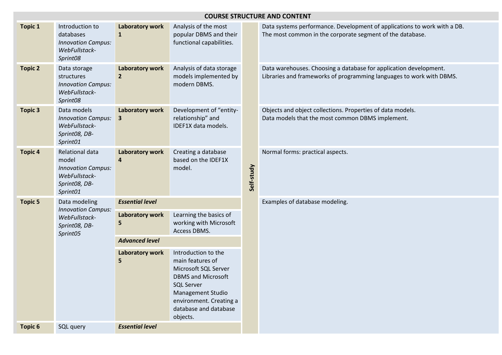|                | <b>COURSE STRUCTURE AND CONTENT</b>                                                                 |                                 |                                                                                                                                                                                                               |            |                                                                                                                                           |  |  |
|----------------|-----------------------------------------------------------------------------------------------------|---------------------------------|---------------------------------------------------------------------------------------------------------------------------------------------------------------------------------------------------------------|------------|-------------------------------------------------------------------------------------------------------------------------------------------|--|--|
| <b>Topic 1</b> | Introduction to<br>databases<br><b>Innovation Campus:</b><br>WebFullstack-<br>Sprint08              | Laboratory work<br>$\mathbf{1}$ | Analysis of the most<br>popular DBMS and their<br>functional capabilities.                                                                                                                                    | Self-study | Data systems performance. Development of applications to work with a DB.<br>The most common in the corporate segment of the database.     |  |  |
| <b>Topic 2</b> | Data storage<br>structures<br><b>Innovation Campus:</b><br>WebFullstack-<br>Sprint08                | Laboratory work<br>$\mathbf{2}$ | Analysis of data storage<br>models implemented by<br>modern DBMS.                                                                                                                                             |            | Data warehouses. Choosing a database for application development.<br>Libraries and frameworks of programming languages to work with DBMS. |  |  |
| <b>Topic 3</b> | Data models<br><b>Innovation Campus:</b><br>WebFullstack-<br>Sprint08, DB-<br>Sprint01              | Laboratory work<br>3            | Development of "entity-<br>relationship" and<br>IDEF1X data models.                                                                                                                                           |            | Objects and object collections. Properties of data models.<br>Data models that the most common DBMS implement.                            |  |  |
| <b>Topic 4</b> | Relational data<br>model<br><b>Innovation Campus:</b><br>WebFullstack-<br>Sprint08, DB-<br>Sprint01 | Laboratory work<br>4            | Creating a database<br>based on the IDEF1X<br>model.                                                                                                                                                          |            | Normal forms: practical aspects.                                                                                                          |  |  |
| <b>Topic 5</b> | Data modeling<br><b>Innovation Campus:</b><br>WebFullstack-<br>Sprint08, DB-<br>Sprint05            | <b>Essential level</b>          |                                                                                                                                                                                                               |            | Examples of database modeling.                                                                                                            |  |  |
|                |                                                                                                     | Laboratory work<br>5            | Learning the basics of<br>working with Microsoft<br>Access DBMS.                                                                                                                                              |            |                                                                                                                                           |  |  |
|                |                                                                                                     | <b>Advanced level</b>           |                                                                                                                                                                                                               |            |                                                                                                                                           |  |  |
|                |                                                                                                     | Laboratory work<br>5            | Introduction to the<br>main features of<br>Microsoft SQL Server<br><b>DBMS and Microsoft</b><br><b>SQL Server</b><br><b>Management Studio</b><br>environment. Creating a<br>database and database<br>objects. |            |                                                                                                                                           |  |  |
| <b>Topic 6</b> | SQL query                                                                                           | <b>Essential level</b>          |                                                                                                                                                                                                               |            |                                                                                                                                           |  |  |